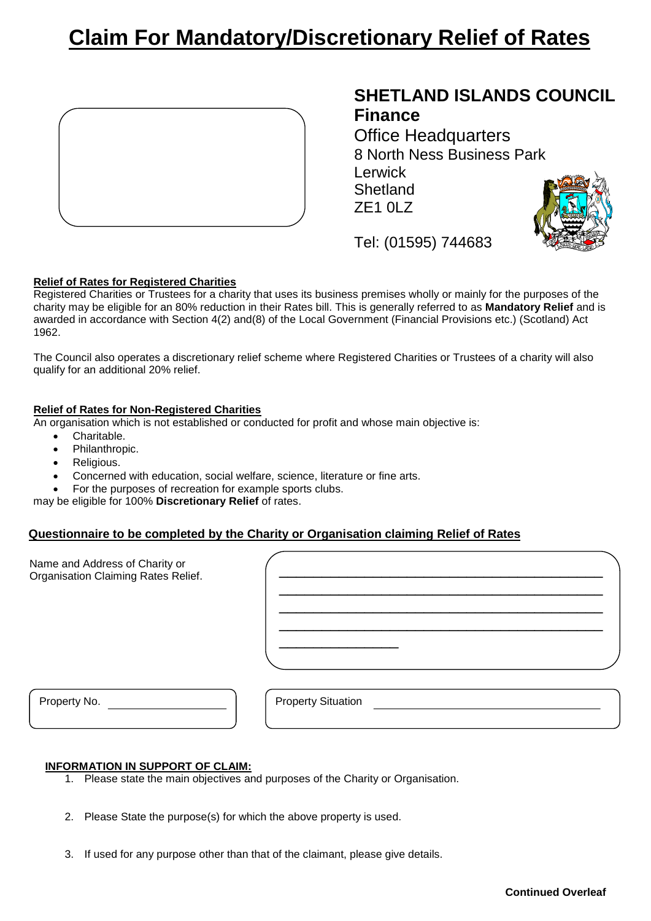# **Claim For Mandatory/Discretionary Relief of Rates**



# **SHETLAND ISLANDS COUNCIL Finance**

Office Headquarters 8 North Ness Business Park Lerwick **Shetland** ZE1 0LZ



Tel: (01595) 744683

## **Relief of Rates for Registered Charities**

Registered Charities or Trustees for a charity that uses its business premises wholly or mainly for the purposes of the charity may be eligible for an 80% reduction in their Rates bill. This is generally referred to as **Mandatory Relief** and is awarded in accordance with Section 4(2) and(8) of the Local Government (Financial Provisions etc.) (Scotland) Act 1962.

The Council also operates a discretionary relief scheme where Registered Charities or Trustees of a charity will also qualify for an additional 20% relief.

### **Relief of Rates for Non-Registered Charities**

An organisation which is not established or conducted for profit and whose main objective is:

- Charitable.
- Philanthropic.
- Religious.
- Concerned with education, social welfare, science, literature or fine arts.
- For the purposes of recreation for example sports clubs.

may be eligible for 100% **Discretionary Relief** of rates.

## **Questionnaire to be completed by the Charity or Organisation claiming Relief of Rates**

| Name and Address of Charity or<br>Organisation Claiming Rates Relief. |                           |
|-----------------------------------------------------------------------|---------------------------|
| Property No.                                                          | <b>Property Situation</b> |

#### **INFORMATION IN SUPPORT OF CLAIM:**

- 1. Please state the main objectives and purposes of the Charity or Organisation.
- 2. Please State the purpose(s) for which the above property is used.
- 3. If used for any purpose other than that of the claimant, please give details.